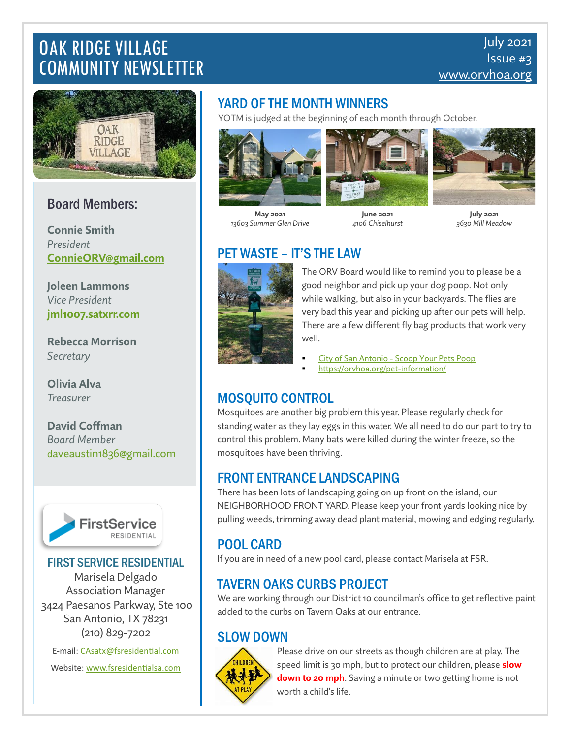# OAK RIDGE VILLAGE COMMUNITY NEWSLETTER



## Board Members:

**Connie Smith** *President* **[ConnieORV@gmail.com](mailto:ConnieORV@gmail.com)**

**Joleen Lammons** *Vice President* **[jml1007.satxrr.com](mailto:joleen@swlawsa.com)**

**Rebecca Morrison** *Secretary*

**Olivia Alva** *Treasurer*

**David Coffman** *Board Member* [d](mailto:daveaustin1836@gmail.com)[aveaustin1836@gmail.com](mailto:daveaustin1836@gmail.com)



#### FIRST SERVICE RESIDENTIAL

Marisela Delgado Association Manager 3424 Paesanos Parkway, Ste 100 San Antonio, TX 78231 (210) 829-7202

E-mail[: CAsatx@fsresidential.com](mailto:CAsatx@fsresidential.com) Website[: www.fsresidentialsa.com](http://www.fsresidentialsa.com/)

### YARD OF THE MONTH WINNERS

YOTM is judged at the beginning of each month through October.





**May 2021** *13603 Summer Glen Drive*

**June 2021** *4106 Chiselhurst*



**July 2021** *3630 Mill Meadow*

# PET WASTE – IT'S THE LAW



The ORV Board would like to remind you to please be a good neighbor and pick up your dog poop. Not only while walking, but also in your backyards. The flies are very bad this year and picking up after our pets will help. There are a few different fly bag products that work very well.

- City of San Antonio [Scoop Your Pets Poop](https://www.sanantonio.gov/Remember-the-River/Residential/Scoop-Your-Pets-Poop)
- <https://orvhoa.org/pet-information/>

# MOSQUITO CONTROL

Mosquitoes are another big problem this year. Please regularly check for standing water as they lay eggs in this water. We all need to do our part to try to control this problem. Many bats were killed during the winter freeze, so the mosquitoes have been thriving.

#### FRONT ENTRANCE LANDSCAPING

There has been lots of landscaping going on up front on the island, our NEIGHBORHOOD FRONT YARD. Please keep your front yards looking nice by pulling weeds, trimming away dead plant material, mowing and edging regularly.

# POOL CARD

If you are in need of a new pool card, please contact Marisela at FSR.

#### TAVERN OAKS CURBS PROJECT

We are working through our District 10 councilman's office to get reflective paint added to the curbs on Tavern Oaks at our entrance.

#### SLOW DOWN



Please drive on our streets as though children are at play. The speed limit is 30 mph, but to protect our children, please **slow down to 20 mph**. Saving a minute or two getting home is not worth a child's life.